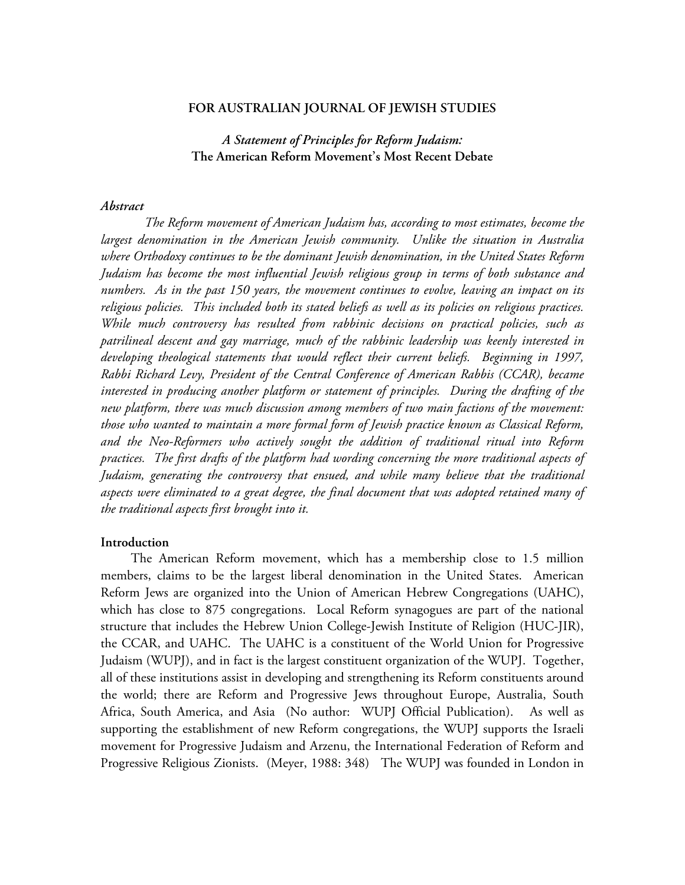#### **FOR AUSTRALIAN JOURNAL OF JEWISH STUDIES**

*A Statement of Principles for Reform Judaism:*  **The American Reform Movement's Most Recent Debate** 

#### *Abstract*

 *The Reform movement of American Judaism has, according to most estimates, become the largest denomination in the American Jewish community. Unlike the situation in Australia where Orthodoxy continues to be the dominant Jewish denomination, in the United States Reform Judaism has become the most influential Jewish religious group in terms of both substance and numbers. As in the past 150 years, the movement continues to evolve, leaving an impact on its religious policies. This included both its stated beliefs as well as its policies on religious practices. While much controversy has resulted from rabbinic decisions on practical policies, such as patrilineal descent and gay marriage, much of the rabbinic leadership was keenly interested in developing theological statements that would reflect their current beliefs. Beginning in 1997, Rabbi Richard Levy, President of the Central Conference of American Rabbis (CCAR), became interested in producing another platform or statement of principles. During the drafting of the new platform, there was much discussion among members of two main factions of the movement: those who wanted to maintain a more formal form of Jewish practice known as Classical Reform, and the Neo-Reformers who actively sought the addition of traditional ritual into Reform practices. The first drafts of the platform had wording concerning the more traditional aspects of Judaism, generating the controversy that ensued, and while many believe that the traditional aspects were eliminated to a great degree, the final document that was adopted retained many of the traditional aspects first brought into it.* 

### **Introduction**

The American Reform movement, which has a membership close to 1.5 million members, claims to be the largest liberal denomination in the United States. American Reform Jews are organized into the Union of American Hebrew Congregations (UAHC), which has close to 875 congregations. Local Reform synagogues are part of the national structure that includes the Hebrew Union College-Jewish Institute of Religion (HUC-JIR), the CCAR, and UAHC. The UAHC is a constituent of the World Union for Progressive Judaism (WUPJ), and in fact is the largest constituent organization of the WUPJ. Together, all of these institutions assist in developing and strengthening its Reform constituents around the world; there are Reform and Progressive Jews throughout Europe, Australia, South Africa, South America, and Asia (No author: WUPJ Official Publication). As well as supporting the establishment of new Reform congregations, the WUPJ supports the Israeli movement for Progressive Judaism and Arzenu, the International Federation of Reform and Progressive Religious Zionists. (Meyer, 1988: 348) The WUPJ was founded in London in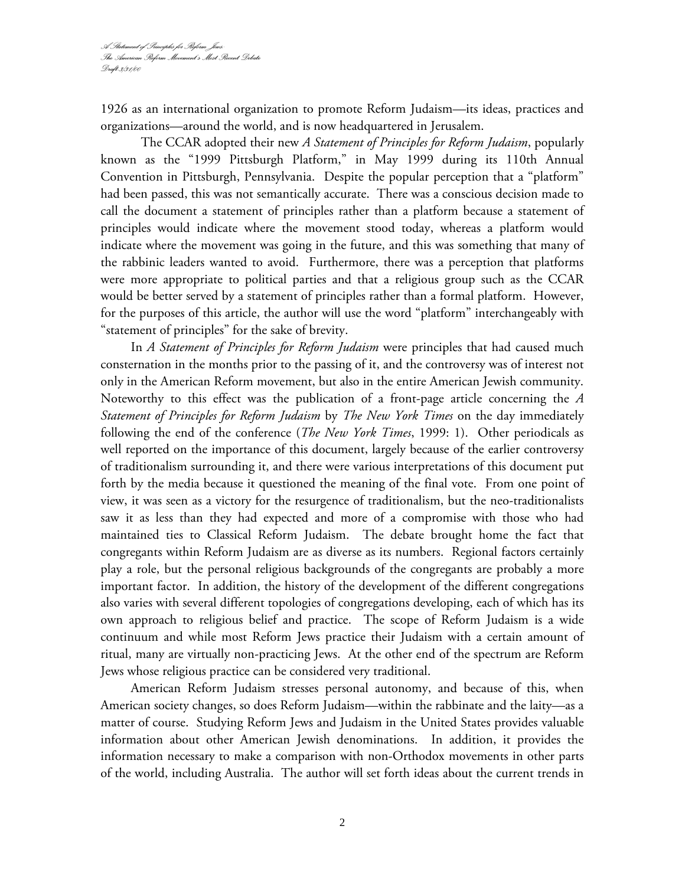1926 as an international organization to promote Reform Judaism—its ideas, practices and organizations—around the world, and is now headquartered in Jerusalem.

The CCAR adopted their new *A Statement of Principles for Reform Judaism*, popularly known as the "1999 Pittsburgh Platform," in May 1999 during its 110th Annual Convention in Pittsburgh, Pennsylvania. Despite the popular perception that a "platform" had been passed, this was not semantically accurate. There was a conscious decision made to call the document a statement of principles rather than a platform because a statement of principles would indicate where the movement stood today, whereas a platform would indicate where the movement was going in the future, and this was something that many of the rabbinic leaders wanted to avoid. Furthermore, there was a perception that platforms were more appropriate to political parties and that a religious group such as the CCAR would be better served by a statement of principles rather than a formal platform. However, for the purposes of this article, the author will use the word "platform" interchangeably with "statement of principles" for the sake of brevity.

In *A Statement of Principles for Reform Judaism* were principles that had caused much consternation in the months prior to the passing of it, and the controversy was of interest not only in the American Reform movement, but also in the entire American Jewish community. Noteworthy to this effect was the publication of a front-page article concerning the *A Statement of Principles for Reform Judaism* by *The New York Times* on the day immediately following the end of the conference (*The New York Times*, 1999: 1). Other periodicals as well reported on the importance of this document, largely because of the earlier controversy of traditionalism surrounding it, and there were various interpretations of this document put forth by the media because it questioned the meaning of the final vote. From one point of view, it was seen as a victory for the resurgence of traditionalism, but the neo-traditionalists saw it as less than they had expected and more of a compromise with those who had maintained ties to Classical Reform Judaism. The debate brought home the fact that congregants within Reform Judaism are as diverse as its numbers. Regional factors certainly play a role, but the personal religious backgrounds of the congregants are probably a more important factor. In addition, the history of the development of the different congregations also varies with several different topologies of congregations developing, each of which has its own approach to religious belief and practice. The scope of Reform Judaism is a wide continuum and while most Reform Jews practice their Judaism with a certain amount of ritual, many are virtually non-practicing Jews. At the other end of the spectrum are Reform Jews whose religious practice can be considered very traditional.

American Reform Judaism stresses personal autonomy, and because of this, when American society changes, so does Reform Judaism—within the rabbinate and the laity—as a matter of course. Studying Reform Jews and Judaism in the United States provides valuable information about other American Jewish denominations. In addition, it provides the information necessary to make a comparison with non-Orthodox movements in other parts of the world, including Australia. The author will set forth ideas about the current trends in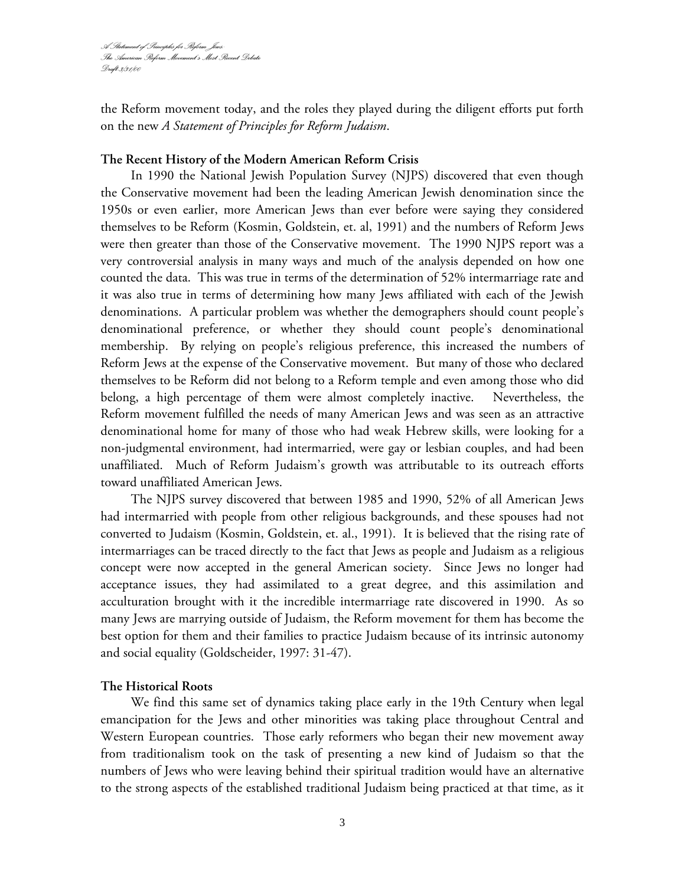the Reform movement today, and the roles they played during the diligent efforts put forth on the new *A Statement of Principles for Reform Judaism*.

## **The Recent History of the Modern American Reform Crisis**

In 1990 the National Jewish Population Survey (NJPS) discovered that even though the Conservative movement had been the leading American Jewish denomination since the 1950s or even earlier, more American Jews than ever before were saying they considered themselves to be Reform (Kosmin, Goldstein, et. al, 1991) and the numbers of Reform Jews were then greater than those of the Conservative movement. The 1990 NJPS report was a very controversial analysis in many ways and much of the analysis depended on how one counted the data. This was true in terms of the determination of 52% intermarriage rate and it was also true in terms of determining how many Jews affiliated with each of the Jewish denominations. A particular problem was whether the demographers should count people's denominational preference, or whether they should count people's denominational membership. By relying on people's religious preference, this increased the numbers of Reform Jews at the expense of the Conservative movement. But many of those who declared themselves to be Reform did not belong to a Reform temple and even among those who did belong, a high percentage of them were almost completely inactive. Nevertheless, the Reform movement fulfilled the needs of many American Jews and was seen as an attractive denominational home for many of those who had weak Hebrew skills, were looking for a non-judgmental environment, had intermarried, were gay or lesbian couples, and had been unaffiliated. Much of Reform Judaism's growth was attributable to its outreach efforts toward unaffiliated American Jews.

The NJPS survey discovered that between 1985 and 1990, 52% of all American Jews had intermarried with people from other religious backgrounds, and these spouses had not converted to Judaism (Kosmin, Goldstein, et. al., 1991). It is believed that the rising rate of intermarriages can be traced directly to the fact that Jews as people and Judaism as a religious concept were now accepted in the general American society. Since Jews no longer had acceptance issues, they had assimilated to a great degree, and this assimilation and acculturation brought with it the incredible intermarriage rate discovered in 1990. As so many Jews are marrying outside of Judaism, the Reform movement for them has become the best option for them and their families to practice Judaism because of its intrinsic autonomy and social equality (Goldscheider, 1997: 31-47).

### **The Historical Roots**

We find this same set of dynamics taking place early in the 19th Century when legal emancipation for the Jews and other minorities was taking place throughout Central and Western European countries. Those early reformers who began their new movement away from traditionalism took on the task of presenting a new kind of Judaism so that the numbers of Jews who were leaving behind their spiritual tradition would have an alternative to the strong aspects of the established traditional Judaism being practiced at that time, as it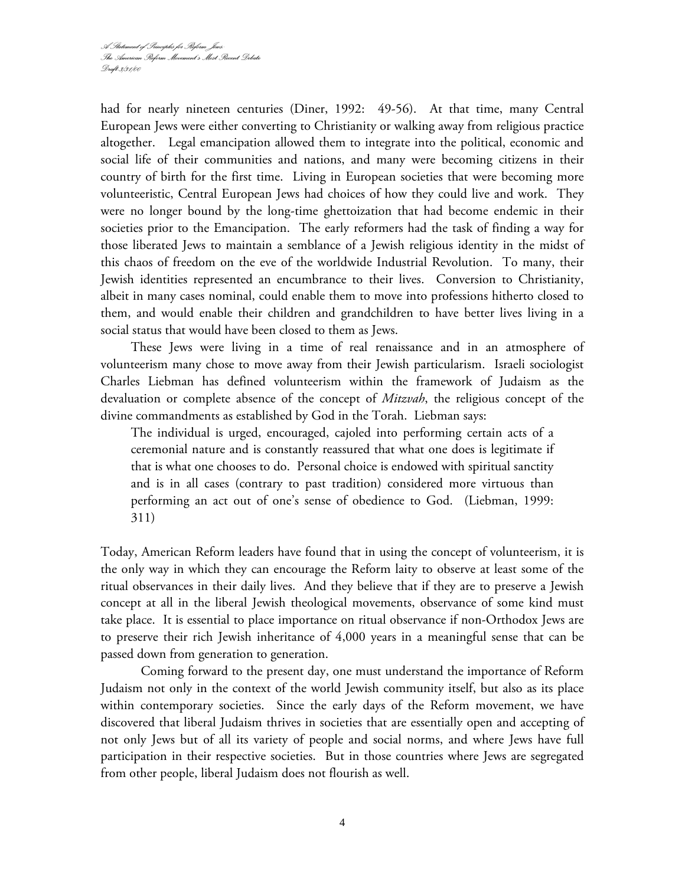had for nearly nineteen centuries (Diner, 1992: 49-56). At that time, many Central European Jews were either converting to Christianity or walking away from religious practice altogether. Legal emancipation allowed them to integrate into the political, economic and social life of their communities and nations, and many were becoming citizens in their country of birth for the first time. Living in European societies that were becoming more volunteeristic, Central European Jews had choices of how they could live and work. They were no longer bound by the long-time ghettoization that had become endemic in their societies prior to the Emancipation. The early reformers had the task of finding a way for those liberated Jews to maintain a semblance of a Jewish religious identity in the midst of this chaos of freedom on the eve of the worldwide Industrial Revolution. To many, their Jewish identities represented an encumbrance to their lives. Conversion to Christianity, albeit in many cases nominal, could enable them to move into professions hitherto closed to them, and would enable their children and grandchildren to have better lives living in a social status that would have been closed to them as Jews.

These Jews were living in a time of real renaissance and in an atmosphere of volunteerism many chose to move away from their Jewish particularism. Israeli sociologist Charles Liebman has defined volunteerism within the framework of Judaism as the devaluation or complete absence of the concept of *Mitzvah*, the religious concept of the divine commandments as established by God in the Torah. Liebman says:

The individual is urged, encouraged, cajoled into performing certain acts of a ceremonial nature and is constantly reassured that what one does is legitimate if that is what one chooses to do. Personal choice is endowed with spiritual sanctity and is in all cases (contrary to past tradition) considered more virtuous than performing an act out of one's sense of obedience to God. (Liebman, 1999: 311)

Today, American Reform leaders have found that in using the concept of volunteerism, it is the only way in which they can encourage the Reform laity to observe at least some of the ritual observances in their daily lives. And they believe that if they are to preserve a Jewish concept at all in the liberal Jewish theological movements, observance of some kind must take place. It is essential to place importance on ritual observance if non-Orthodox Jews are to preserve their rich Jewish inheritance of 4,000 years in a meaningful sense that can be passed down from generation to generation.

 Coming forward to the present day, one must understand the importance of Reform Judaism not only in the context of the world Jewish community itself, but also as its place within contemporary societies. Since the early days of the Reform movement, we have discovered that liberal Judaism thrives in societies that are essentially open and accepting of not only Jews but of all its variety of people and social norms, and where Jews have full participation in their respective societies. But in those countries where Jews are segregated from other people, liberal Judaism does not flourish as well.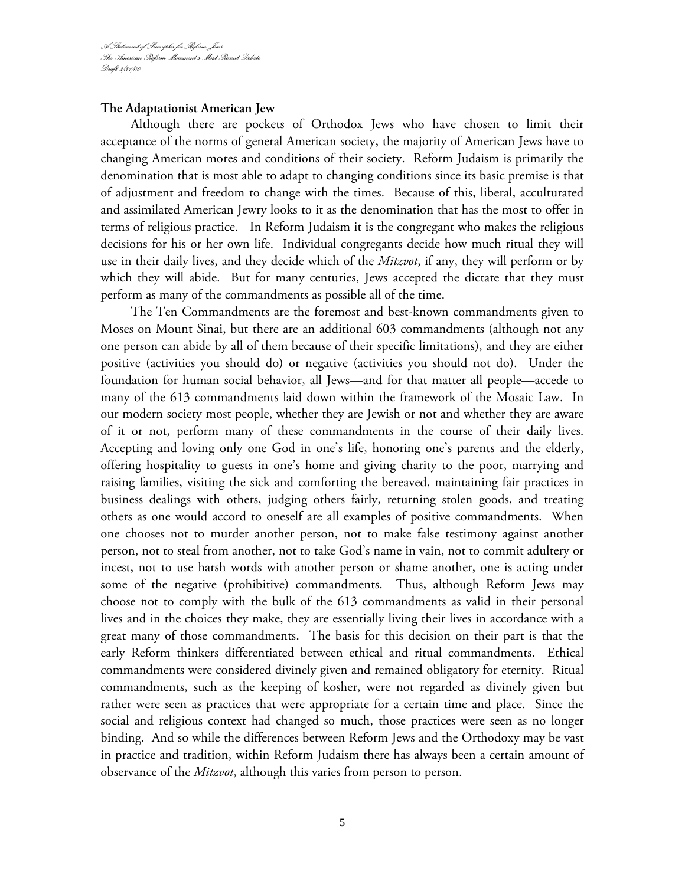### **The Adaptationist American Jew**

Although there are pockets of Orthodox Jews who have chosen to limit their acceptance of the norms of general American society, the majority of American Jews have to changing American mores and conditions of their society. Reform Judaism is primarily the denomination that is most able to adapt to changing conditions since its basic premise is that of adjustment and freedom to change with the times. Because of this, liberal, acculturated and assimilated American Jewry looks to it as the denomination that has the most to offer in terms of religious practice. In Reform Judaism it is the congregant who makes the religious decisions for his or her own life. Individual congregants decide how much ritual they will use in their daily lives, and they decide which of the *Mitzvot*, if any, they will perform or by which they will abide. But for many centuries, Jews accepted the dictate that they must perform as many of the commandments as possible all of the time.

The Ten Commandments are the foremost and best-known commandments given to Moses on Mount Sinai, but there are an additional 603 commandments (although not any one person can abide by all of them because of their specific limitations), and they are either positive (activities you should do) or negative (activities you should not do). Under the foundation for human social behavior, all Jews—and for that matter all people—accede to many of the 613 commandments laid down within the framework of the Mosaic Law. In our modern society most people, whether they are Jewish or not and whether they are aware of it or not, perform many of these commandments in the course of their daily lives. Accepting and loving only one God in one's life, honoring one's parents and the elderly, offering hospitality to guests in one's home and giving charity to the poor, marrying and raising families, visiting the sick and comforting the bereaved, maintaining fair practices in business dealings with others, judging others fairly, returning stolen goods, and treating others as one would accord to oneself are all examples of positive commandments. When one chooses not to murder another person, not to make false testimony against another person, not to steal from another, not to take God's name in vain, not to commit adultery or incest, not to use harsh words with another person or shame another, one is acting under some of the negative (prohibitive) commandments. Thus, although Reform Jews may choose not to comply with the bulk of the 613 commandments as valid in their personal lives and in the choices they make, they are essentially living their lives in accordance with a great many of those commandments. The basis for this decision on their part is that the early Reform thinkers differentiated between ethical and ritual commandments. Ethical commandments were considered divinely given and remained obligatory for eternity. Ritual commandments, such as the keeping of kosher, were not regarded as divinely given but rather were seen as practices that were appropriate for a certain time and place. Since the social and religious context had changed so much, those practices were seen as no longer binding. And so while the differences between Reform Jews and the Orthodoxy may be vast in practice and tradition, within Reform Judaism there has always been a certain amount of observance of the *Mitzvot*, although this varies from person to person.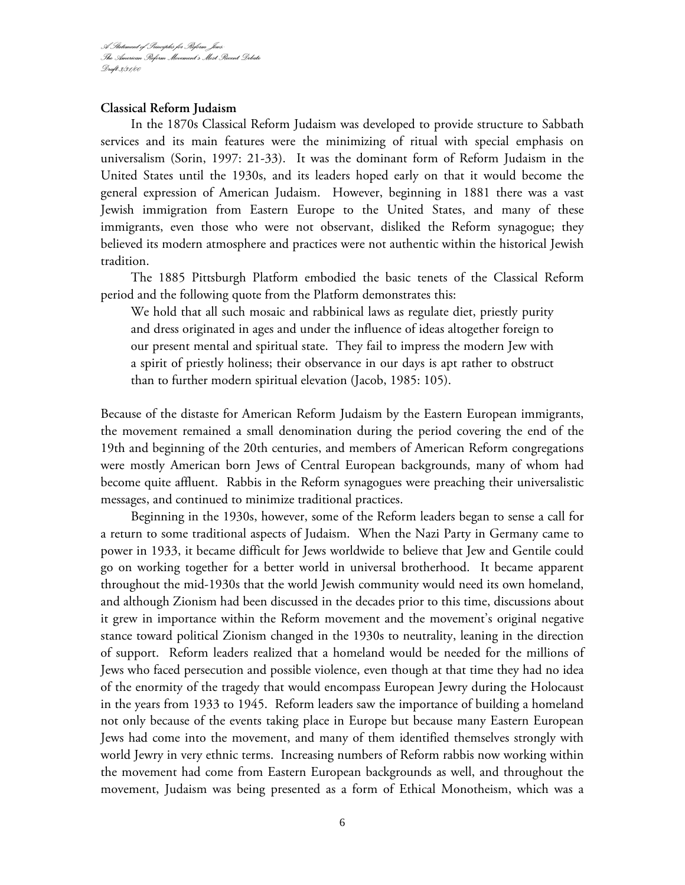## **Classical Reform Judaism**

In the 1870s Classical Reform Judaism was developed to provide structure to Sabbath services and its main features were the minimizing of ritual with special emphasis on universalism (Sorin, 1997: 21-33). It was the dominant form of Reform Judaism in the United States until the 1930s, and its leaders hoped early on that it would become the general expression of American Judaism. However, beginning in 1881 there was a vast Jewish immigration from Eastern Europe to the United States, and many of these immigrants, even those who were not observant, disliked the Reform synagogue; they believed its modern atmosphere and practices were not authentic within the historical Jewish tradition.

The 1885 Pittsburgh Platform embodied the basic tenets of the Classical Reform period and the following quote from the Platform demonstrates this:

We hold that all such mosaic and rabbinical laws as regulate diet, priestly purity and dress originated in ages and under the influence of ideas altogether foreign to our present mental and spiritual state. They fail to impress the modern Jew with a spirit of priestly holiness; their observance in our days is apt rather to obstruct than to further modern spiritual elevation (Jacob, 1985: 105).

Because of the distaste for American Reform Judaism by the Eastern European immigrants, the movement remained a small denomination during the period covering the end of the 19th and beginning of the 20th centuries, and members of American Reform congregations were mostly American born Jews of Central European backgrounds, many of whom had become quite affluent. Rabbis in the Reform synagogues were preaching their universalistic messages, and continued to minimize traditional practices.

Beginning in the 1930s, however, some of the Reform leaders began to sense a call for a return to some traditional aspects of Judaism. When the Nazi Party in Germany came to power in 1933, it became difficult for Jews worldwide to believe that Jew and Gentile could go on working together for a better world in universal brotherhood. It became apparent throughout the mid-1930s that the world Jewish community would need its own homeland, and although Zionism had been discussed in the decades prior to this time, discussions about it grew in importance within the Reform movement and the movement's original negative stance toward political Zionism changed in the 1930s to neutrality, leaning in the direction of support. Reform leaders realized that a homeland would be needed for the millions of Jews who faced persecution and possible violence, even though at that time they had no idea of the enormity of the tragedy that would encompass European Jewry during the Holocaust in the years from 1933 to 1945. Reform leaders saw the importance of building a homeland not only because of the events taking place in Europe but because many Eastern European Jews had come into the movement, and many of them identified themselves strongly with world Jewry in very ethnic terms. Increasing numbers of Reform rabbis now working within the movement had come from Eastern European backgrounds as well, and throughout the movement, Judaism was being presented as a form of Ethical Monotheism, which was a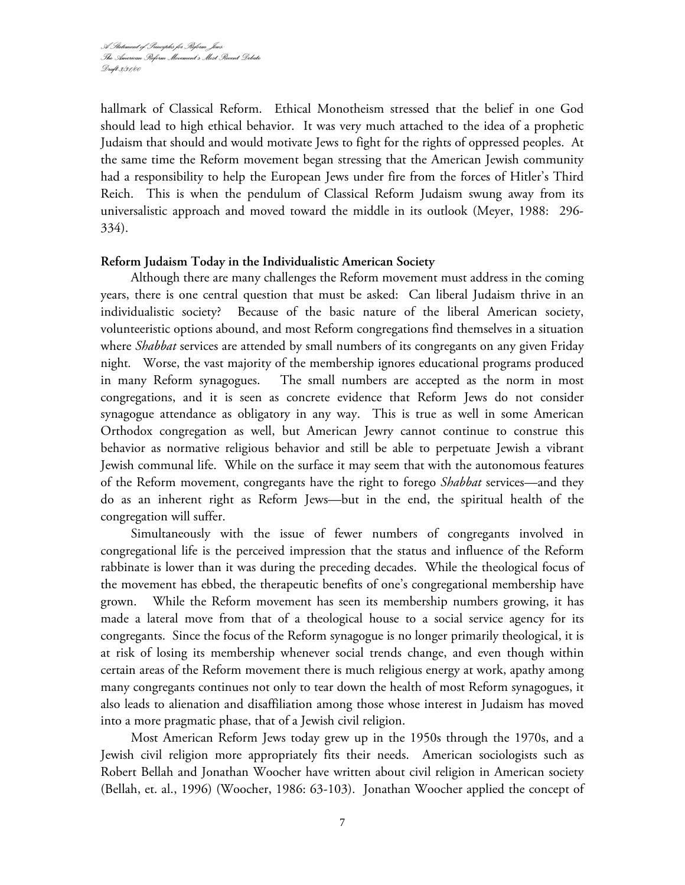hallmark of Classical Reform. Ethical Monotheism stressed that the belief in one God should lead to high ethical behavior. It was very much attached to the idea of a prophetic Judaism that should and would motivate Jews to fight for the rights of oppressed peoples. At the same time the Reform movement began stressing that the American Jewish community had a responsibility to help the European Jews under fire from the forces of Hitler's Third Reich. This is when the pendulum of Classical Reform Judaism swung away from its universalistic approach and moved toward the middle in its outlook (Meyer, 1988: 296- 334).

## **Reform Judaism Today in the Individualistic American Society**

Although there are many challenges the Reform movement must address in the coming years, there is one central question that must be asked: Can liberal Judaism thrive in an individualistic society? Because of the basic nature of the liberal American society, volunteeristic options abound, and most Reform congregations find themselves in a situation where *Shabbat* services are attended by small numbers of its congregants on any given Friday night*.* Worse, the vast majority of the membership ignores educational programs produced in many Reform synagogues. The small numbers are accepted as the norm in most congregations, and it is seen as concrete evidence that Reform Jews do not consider synagogue attendance as obligatory in any way. This is true as well in some American Orthodox congregation as well, but American Jewry cannot continue to construe this behavior as normative religious behavior and still be able to perpetuate Jewish a vibrant Jewish communal life. While on the surface it may seem that with the autonomous features of the Reform movement, congregants have the right to forego *Shabbat* services—and they do as an inherent right as Reform Jews—but in the end, the spiritual health of the congregation will suffer.

Simultaneously with the issue of fewer numbers of congregants involved in congregational life is the perceived impression that the status and influence of the Reform rabbinate is lower than it was during the preceding decades. While the theological focus of the movement has ebbed, the therapeutic benefits of one's congregational membership have grown. While the Reform movement has seen its membership numbers growing, it has made a lateral move from that of a theological house to a social service agency for its congregants. Since the focus of the Reform synagogue is no longer primarily theological, it is at risk of losing its membership whenever social trends change, and even though within certain areas of the Reform movement there is much religious energy at work, apathy among many congregants continues not only to tear down the health of most Reform synagogues, it also leads to alienation and disaffiliation among those whose interest in Judaism has moved into a more pragmatic phase, that of a Jewish civil religion.

Most American Reform Jews today grew up in the 1950s through the 1970s, and a Jewish civil religion more appropriately fits their needs. American sociologists such as Robert Bellah and Jonathan Woocher have written about civil religion in American society (Bellah, et. al., 1996) (Woocher, 1986: 63-103). Jonathan Woocher applied the concept of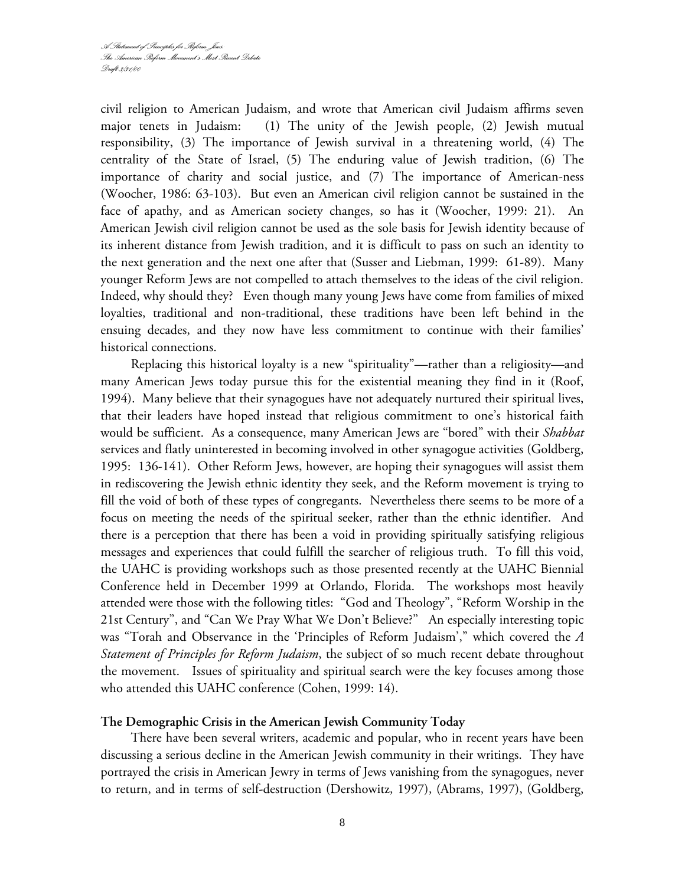civil religion to American Judaism, and wrote that American civil Judaism affirms seven major tenets in Judaism: (1) The unity of the Jewish people, (2) Jewish mutual responsibility, (3) The importance of Jewish survival in a threatening world, (4) The centrality of the State of Israel, (5) The enduring value of Jewish tradition, (6) The importance of charity and social justice, and (7) The importance of American-ness (Woocher, 1986: 63-103). But even an American civil religion cannot be sustained in the face of apathy, and as American society changes, so has it (Woocher, 1999: 21). An American Jewish civil religion cannot be used as the sole basis for Jewish identity because of its inherent distance from Jewish tradition, and it is difficult to pass on such an identity to the next generation and the next one after that (Susser and Liebman, 1999: 61-89). Many younger Reform Jews are not compelled to attach themselves to the ideas of the civil religion. Indeed, why should they? Even though many young Jews have come from families of mixed loyalties, traditional and non-traditional, these traditions have been left behind in the ensuing decades, and they now have less commitment to continue with their families' historical connections.

Replacing this historical loyalty is a new "spirituality"—rather than a religiosity—and many American Jews today pursue this for the existential meaning they find in it (Roof, 1994). Many believe that their synagogues have not adequately nurtured their spiritual lives, that their leaders have hoped instead that religious commitment to one's historical faith would be sufficient. As a consequence, many American Jews are "bored" with their *Shabbat*  services and flatly uninterested in becoming involved in other synagogue activities (Goldberg, 1995: 136-141). Other Reform Jews, however, are hoping their synagogues will assist them in rediscovering the Jewish ethnic identity they seek, and the Reform movement is trying to fill the void of both of these types of congregants. Nevertheless there seems to be more of a focus on meeting the needs of the spiritual seeker, rather than the ethnic identifier. And there is a perception that there has been a void in providing spiritually satisfying religious messages and experiences that could fulfill the searcher of religious truth. To fill this void, the UAHC is providing workshops such as those presented recently at the UAHC Biennial Conference held in December 1999 at Orlando, Florida. The workshops most heavily attended were those with the following titles: "God and Theology", "Reform Worship in the 21st Century", and "Can We Pray What We Don't Believe?" An especially interesting topic was "Torah and Observance in the 'Principles of Reform Judaism'," which covered the *A Statement of Principles for Reform Judaism*, the subject of so much recent debate throughout the movement. Issues of spirituality and spiritual search were the key focuses among those who attended this UAHC conference (Cohen, 1999: 14).

# **The Demographic Crisis in the American Jewish Community Today**

There have been several writers, academic and popular, who in recent years have been discussing a serious decline in the American Jewish community in their writings. They have portrayed the crisis in American Jewry in terms of Jews vanishing from the synagogues, never to return, and in terms of self-destruction (Dershowitz, 1997), (Abrams, 1997), (Goldberg,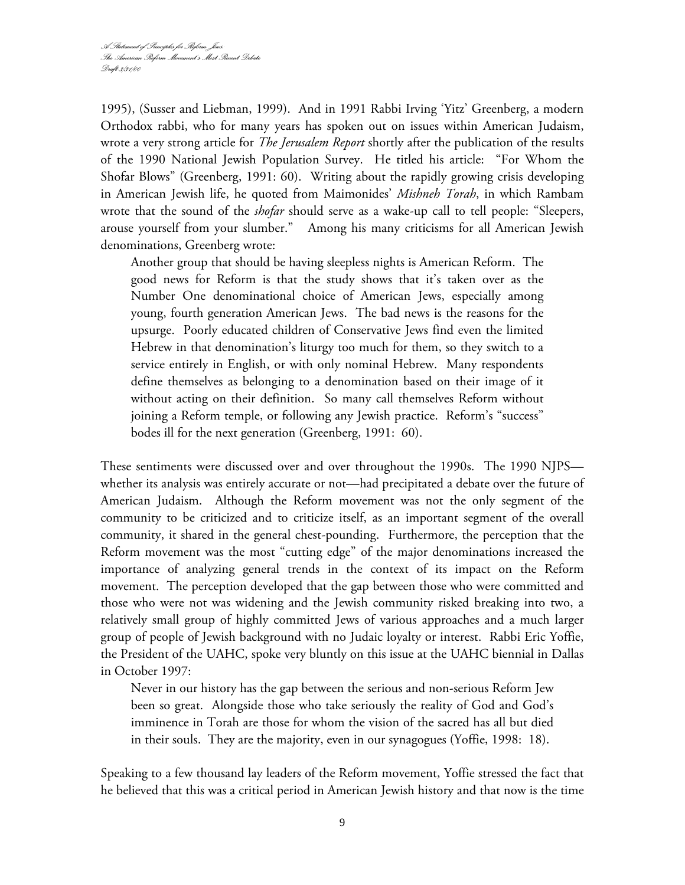1995), (Susser and Liebman, 1999). And in 1991 Rabbi Irving 'Yitz' Greenberg, a modern Orthodox rabbi, who for many years has spoken out on issues within American Judaism, wrote a very strong article for *The Jerusalem Report* shortly after the publication of the results of the 1990 National Jewish Population Survey. He titled his article: "For Whom the Shofar Blows" (Greenberg, 1991: 60). Writing about the rapidly growing crisis developing in American Jewish life, he quoted from Maimonides' *Mishneh Torah*, in which Rambam wrote that the sound of the *shofar* should serve as a wake-up call to tell people: "Sleepers, arouse yourself from your slumber." Among his many criticisms for all American Jewish denominations, Greenberg wrote:

Another group that should be having sleepless nights is American Reform. The good news for Reform is that the study shows that it's taken over as the Number One denominational choice of American Jews, especially among young, fourth generation American Jews. The bad news is the reasons for the upsurge. Poorly educated children of Conservative Jews find even the limited Hebrew in that denomination's liturgy too much for them, so they switch to a service entirely in English, or with only nominal Hebrew. Many respondents define themselves as belonging to a denomination based on their image of it without acting on their definition. So many call themselves Reform without joining a Reform temple, or following any Jewish practice. Reform's "success" bodes ill for the next generation (Greenberg, 1991: 60).

These sentiments were discussed over and over throughout the 1990s. The 1990 NJPS whether its analysis was entirely accurate or not—had precipitated a debate over the future of American Judaism. Although the Reform movement was not the only segment of the community to be criticized and to criticize itself, as an important segment of the overall community, it shared in the general chest-pounding. Furthermore, the perception that the Reform movement was the most "cutting edge" of the major denominations increased the importance of analyzing general trends in the context of its impact on the Reform movement. The perception developed that the gap between those who were committed and those who were not was widening and the Jewish community risked breaking into two, a relatively small group of highly committed Jews of various approaches and a much larger group of people of Jewish background with no Judaic loyalty or interest. Rabbi Eric Yoffie, the President of the UAHC, spoke very bluntly on this issue at the UAHC biennial in Dallas in October 1997:

Never in our history has the gap between the serious and non-serious Reform Jew been so great. Alongside those who take seriously the reality of God and God's imminence in Torah are those for whom the vision of the sacred has all but died in their souls. They are the majority, even in our synagogues (Yoffie, 1998: 18).

Speaking to a few thousand lay leaders of the Reform movement, Yoffie stressed the fact that he believed that this was a critical period in American Jewish history and that now is the time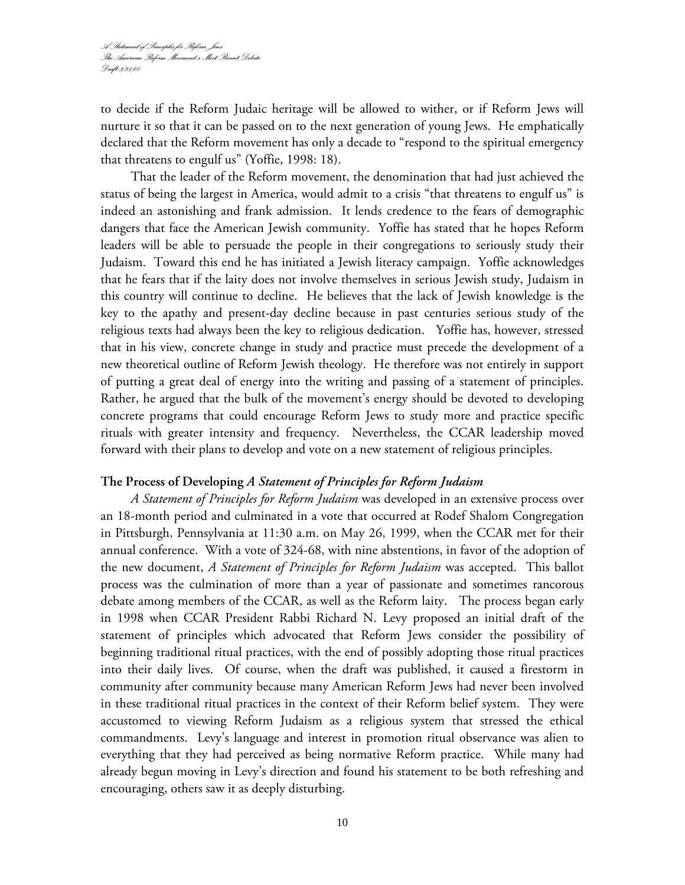to decide if the Reform Judaic heritage will be allowed to wither, or if Reform Jews will nurture it so that it can be passed on to the next generation of young Jews. He emphatically declared that the Reform movement has only a decade to "respond to the spiritual emergency that threatens to engulf us" (Yoffie, 1998: 18).

That the leader of the Reform movement, the denomination that had just achieved the status of being the largest in America, would admit to a crisis "that threatens to engulf us" is indeed an astonishing and frank admission. It lends credence to the fears of demographic dangers that face the American Jewish community. Yoffie has stated that he hopes Reform leaders will be able to persuade the people in their congregations to seriously study their Judaism. Toward this end he has initiated a Jewish literacy campaign. Yoffie acknowledges that he fears that if the laity does not involve themselves in serious Jewish study, Judaism in this country will continue to decline. He believes that the lack of Jewish knowledge is the key to the apathy and present-day decline because in past centuries serious study of the religious texts had always been the key to religious dedication. Yoffie has, however, stressed that in his view, concrete change in study and practice must precede the development of a new theoretical outline of Reform Jewish theology. He therefore was not entirely in support of putting a great deal of energy into the writing and passing of a statement of principles. Rather, he argued that the bulk of the movement's energy should be devoted to developing concrete programs that could encourage Reform Jews to study more and practice specific rituals with greater intensity and frequency. Nevertheless, the CCAR leadership moved forward with their plans to develop and vote on a new statement of religious principles.

## **The Process of Developing** *A Statement of Principles for Reform Judaism*

*A Statement of Principles for Reform Judaism* was developed in an extensive process over an 18-month period and culminated in a vote that occurred at Rodef Shalom Congregation in Pittsburgh, Pennsylvania at 11:30 a.m. on May 26, 1999, when the CCAR met for their annual conference. With a vote of 324-68, with nine abstentions, in favor of the adoption of the new document, *A Statement of Principles for Reform Judaism* was accepted. This ballot process was the culmination of more than a year of passionate and sometimes rancorous debate among members of the CCAR, as well as the Reform laity. The process began early in 1998 when CCAR President Rabbi Richard N. Levy proposed an initial draft of the statement of principles which advocated that Reform Jews consider the possibility of beginning traditional ritual practices, with the end of possibly adopting those ritual practices into their daily lives. Of course, when the draft was published, it caused a firestorm in community after community because many American Reform Jews had never been involved in these traditional ritual practices in the context of their Reform belief system. They were accustomed to viewing Reform Judaism as a religious system that stressed the ethical commandments. Levy's language and interest in promotion ritual observance was alien to everything that they had perceived as being normative Reform practice. While many had already begun moving in Levy's direction and found his statement to be both refreshing and encouraging, others saw it as deeply disturbing.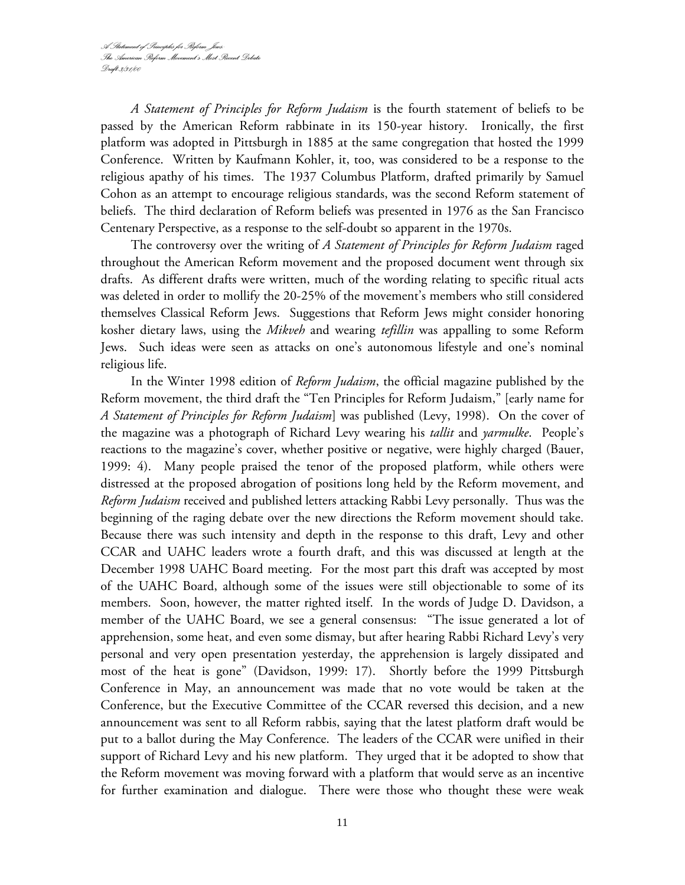*A Statement of Principles for Reform Judaism* is the fourth statement of beliefs to be passed by the American Reform rabbinate in its 150-year history. Ironically, the first platform was adopted in Pittsburgh in 1885 at the same congregation that hosted the 1999 Conference. Written by Kaufmann Kohler, it, too, was considered to be a response to the religious apathy of his times. The 1937 Columbus Platform, drafted primarily by Samuel Cohon as an attempt to encourage religious standards, was the second Reform statement of beliefs. The third declaration of Reform beliefs was presented in 1976 as the San Francisco Centenary Perspective, as a response to the self-doubt so apparent in the 1970s.

The controversy over the writing of *A Statement of Principles for Reform Judaism* raged throughout the American Reform movement and the proposed document went through six drafts. As different drafts were written, much of the wording relating to specific ritual acts was deleted in order to mollify the 20-25% of the movement's members who still considered themselves Classical Reform Jews. Suggestions that Reform Jews might consider honoring kosher dietary laws, using the *Mikveh* and wearing *tefillin* was appalling to some Reform Jews. Such ideas were seen as attacks on one's autonomous lifestyle and one's nominal religious life.

In the Winter 1998 edition of *Reform Judaism*, the official magazine published by the Reform movement, the third draft the "Ten Principles for Reform Judaism," [early name for *A Statement of Principles for Reform Judaism*] was published (Levy, 1998). On the cover of the magazine was a photograph of Richard Levy wearing his *tallit* and *yarmulke*. People's reactions to the magazine's cover, whether positive or negative, were highly charged (Bauer, 1999: 4). Many people praised the tenor of the proposed platform, while others were distressed at the proposed abrogation of positions long held by the Reform movement, and *Reform Judaism* received and published letters attacking Rabbi Levy personally. Thus was the beginning of the raging debate over the new directions the Reform movement should take. Because there was such intensity and depth in the response to this draft, Levy and other CCAR and UAHC leaders wrote a fourth draft, and this was discussed at length at the December 1998 UAHC Board meeting. For the most part this draft was accepted by most of the UAHC Board, although some of the issues were still objectionable to some of its members. Soon, however, the matter righted itself. In the words of Judge D. Davidson, a member of the UAHC Board, we see a general consensus: "The issue generated a lot of apprehension, some heat, and even some dismay, but after hearing Rabbi Richard Levy's very personal and very open presentation yesterday, the apprehension is largely dissipated and most of the heat is gone" (Davidson, 1999: 17). Shortly before the 1999 Pittsburgh Conference in May, an announcement was made that no vote would be taken at the Conference, but the Executive Committee of the CCAR reversed this decision, and a new announcement was sent to all Reform rabbis, saying that the latest platform draft would be put to a ballot during the May Conference. The leaders of the CCAR were unified in their support of Richard Levy and his new platform. They urged that it be adopted to show that the Reform movement was moving forward with a platform that would serve as an incentive for further examination and dialogue. There were those who thought these were weak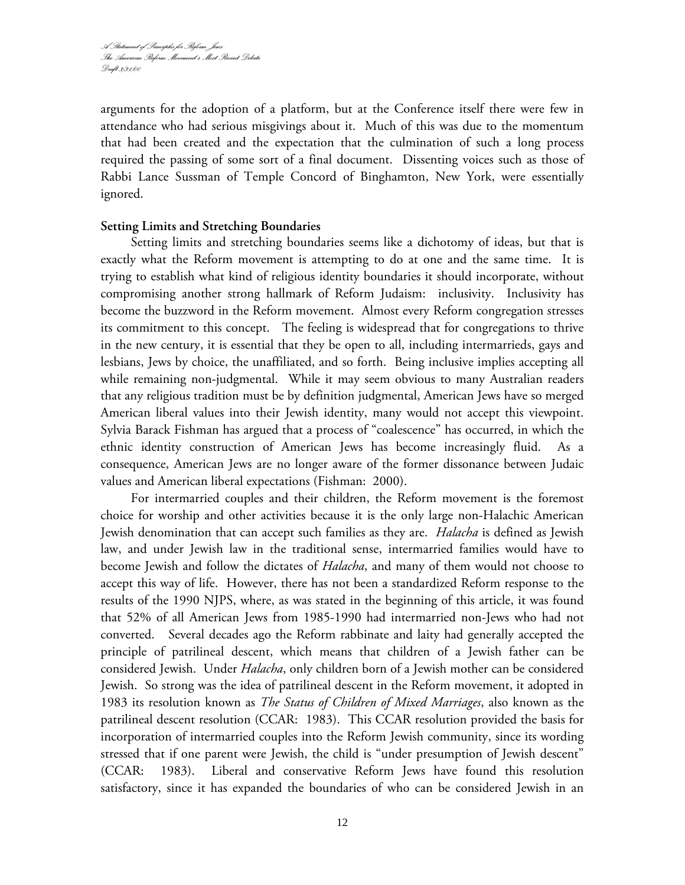arguments for the adoption of a platform, but at the Conference itself there were few in attendance who had serious misgivings about it. Much of this was due to the momentum that had been created and the expectation that the culmination of such a long process required the passing of some sort of a final document. Dissenting voices such as those of Rabbi Lance Sussman of Temple Concord of Binghamton, New York, were essentially ignored.

## **Setting Limits and Stretching Boundaries**

Setting limits and stretching boundaries seems like a dichotomy of ideas, but that is exactly what the Reform movement is attempting to do at one and the same time. It is trying to establish what kind of religious identity boundaries it should incorporate, without compromising another strong hallmark of Reform Judaism: inclusivity. Inclusivity has become the buzzword in the Reform movement. Almost every Reform congregation stresses its commitment to this concept. The feeling is widespread that for congregations to thrive in the new century, it is essential that they be open to all, including intermarrieds, gays and lesbians, Jews by choice, the unaffiliated, and so forth. Being inclusive implies accepting all while remaining non-judgmental. While it may seem obvious to many Australian readers that any religious tradition must be by definition judgmental, American Jews have so merged American liberal values into their Jewish identity, many would not accept this viewpoint. Sylvia Barack Fishman has argued that a process of "coalescence" has occurred, in which the ethnic identity construction of American Jews has become increasingly fluid. As a consequence, American Jews are no longer aware of the former dissonance between Judaic values and American liberal expectations (Fishman: 2000).

For intermarried couples and their children, the Reform movement is the foremost choice for worship and other activities because it is the only large non-Halachic American Jewish denomination that can accept such families as they are. *Halacha* is defined as Jewish law, and under Jewish law in the traditional sense, intermarried families would have to become Jewish and follow the dictates of *Halacha*, and many of them would not choose to accept this way of life. However, there has not been a standardized Reform response to the results of the 1990 NJPS, where, as was stated in the beginning of this article, it was found that 52% of all American Jews from 1985-1990 had intermarried non-Jews who had not converted. Several decades ago the Reform rabbinate and laity had generally accepted the principle of patrilineal descent, which means that children of a Jewish father can be considered Jewish. Under *Halacha*, only children born of a Jewish mother can be considered Jewish. So strong was the idea of patrilineal descent in the Reform movement, it adopted in 1983 its resolution known as *The Status of Children of Mixed Marriages*, also known as the patrilineal descent resolution (CCAR: 1983). This CCAR resolution provided the basis for incorporation of intermarried couples into the Reform Jewish community, since its wording stressed that if one parent were Jewish, the child is "under presumption of Jewish descent" (CCAR: 1983). Liberal and conservative Reform Jews have found this resolution satisfactory, since it has expanded the boundaries of who can be considered Jewish in an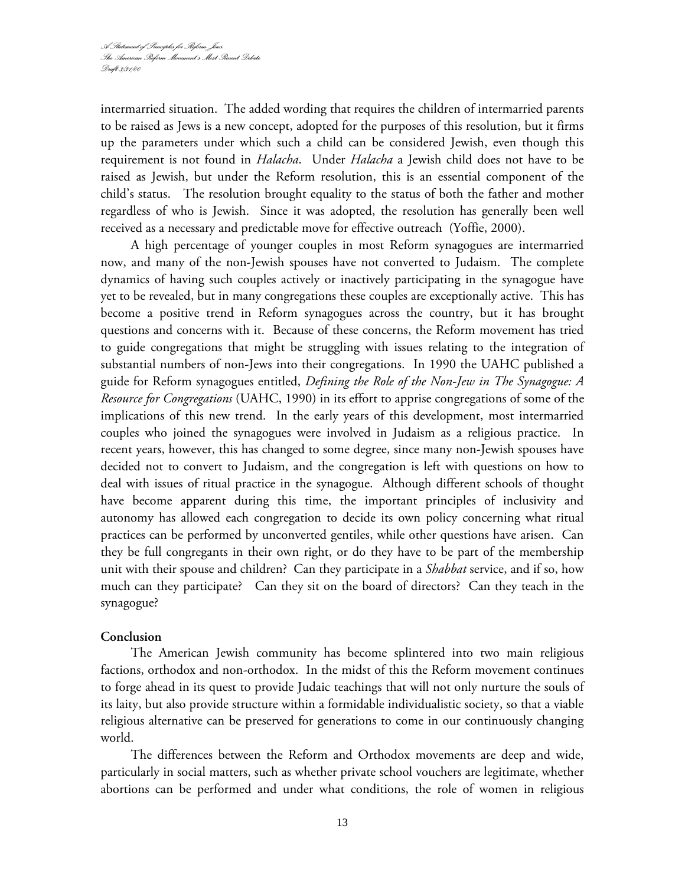intermarried situation. The added wording that requires the children of intermarried parents to be raised as Jews is a new concept, adopted for the purposes of this resolution, but it firms up the parameters under which such a child can be considered Jewish, even though this requirement is not found in *Halacha*. Under *Halacha* a Jewish child does not have to be raised as Jewish, but under the Reform resolution, this is an essential component of the child's status. The resolution brought equality to the status of both the father and mother regardless of who is Jewish. Since it was adopted, the resolution has generally been well received as a necessary and predictable move for effective outreach (Yoffie, 2000).

A high percentage of younger couples in most Reform synagogues are intermarried now, and many of the non-Jewish spouses have not converted to Judaism. The complete dynamics of having such couples actively or inactively participating in the synagogue have yet to be revealed, but in many congregations these couples are exceptionally active. This has become a positive trend in Reform synagogues across the country, but it has brought questions and concerns with it. Because of these concerns, the Reform movement has tried to guide congregations that might be struggling with issues relating to the integration of substantial numbers of non-Jews into their congregations. In 1990 the UAHC published a guide for Reform synagogues entitled, *Defining the Role of the Non-Jew in The Synagogue: A Resource for Congregations* (UAHC, 1990) in its effort to apprise congregations of some of the implications of this new trend. In the early years of this development, most intermarried couples who joined the synagogues were involved in Judaism as a religious practice. In recent years, however, this has changed to some degree, since many non-Jewish spouses have decided not to convert to Judaism, and the congregation is left with questions on how to deal with issues of ritual practice in the synagogue. Although different schools of thought have become apparent during this time, the important principles of inclusivity and autonomy has allowed each congregation to decide its own policy concerning what ritual practices can be performed by unconverted gentiles, while other questions have arisen. Can they be full congregants in their own right, or do they have to be part of the membership unit with their spouse and children? Can they participate in a *Shabbat* service, and if so, how much can they participate? Can they sit on the board of directors? Can they teach in the synagogue?

## **Conclusion**

The American Jewish community has become splintered into two main religious factions, orthodox and non-orthodox. In the midst of this the Reform movement continues to forge ahead in its quest to provide Judaic teachings that will not only nurture the souls of its laity, but also provide structure within a formidable individualistic society, so that a viable religious alternative can be preserved for generations to come in our continuously changing world.

The differences between the Reform and Orthodox movements are deep and wide, particularly in social matters, such as whether private school vouchers are legitimate, whether abortions can be performed and under what conditions, the role of women in religious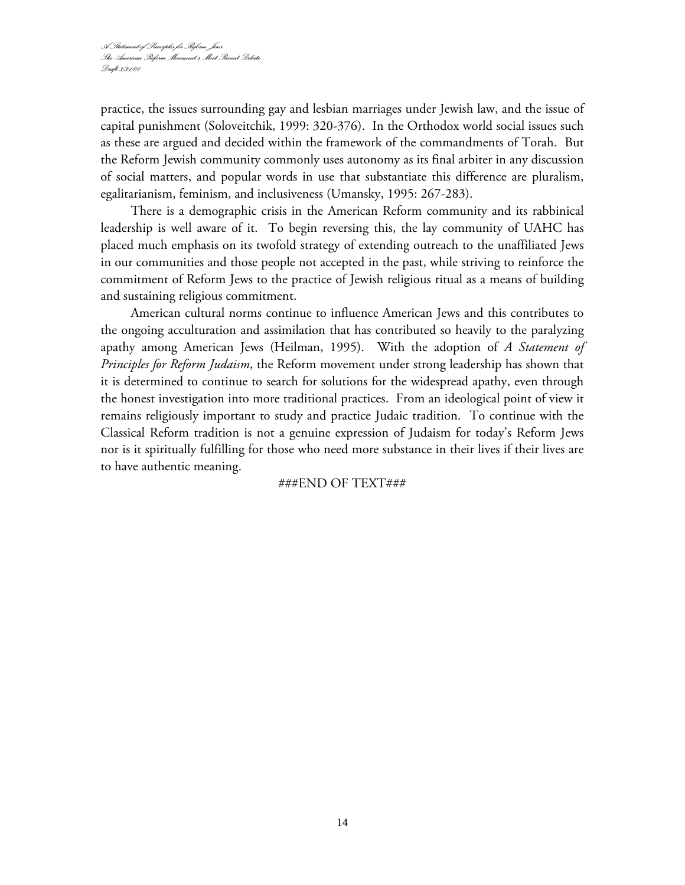practice, the issues surrounding gay and lesbian marriages under Jewish law, and the issue of capital punishment (Soloveitchik, 1999: 320-376). In the Orthodox world social issues such as these are argued and decided within the framework of the commandments of Torah. But the Reform Jewish community commonly uses autonomy as its final arbiter in any discussion of social matters, and popular words in use that substantiate this difference are pluralism, egalitarianism, feminism, and inclusiveness (Umansky, 1995: 267-283).

There is a demographic crisis in the American Reform community and its rabbinical leadership is well aware of it. To begin reversing this, the lay community of UAHC has placed much emphasis on its twofold strategy of extending outreach to the unaffiliated Jews in our communities and those people not accepted in the past, while striving to reinforce the commitment of Reform Jews to the practice of Jewish religious ritual as a means of building and sustaining religious commitment.

American cultural norms continue to influence American Jews and this contributes to the ongoing acculturation and assimilation that has contributed so heavily to the paralyzing apathy among American Jews (Heilman, 1995). With the adoption of *A Statement of Principles for Reform Judaism*, the Reform movement under strong leadership has shown that it is determined to continue to search for solutions for the widespread apathy, even through the honest investigation into more traditional practices. From an ideological point of view it remains religiously important to study and practice Judaic tradition. To continue with the Classical Reform tradition is not a genuine expression of Judaism for today's Reform Jews nor is it spiritually fulfilling for those who need more substance in their lives if their lives are to have authentic meaning.

## ###END OF TEXT###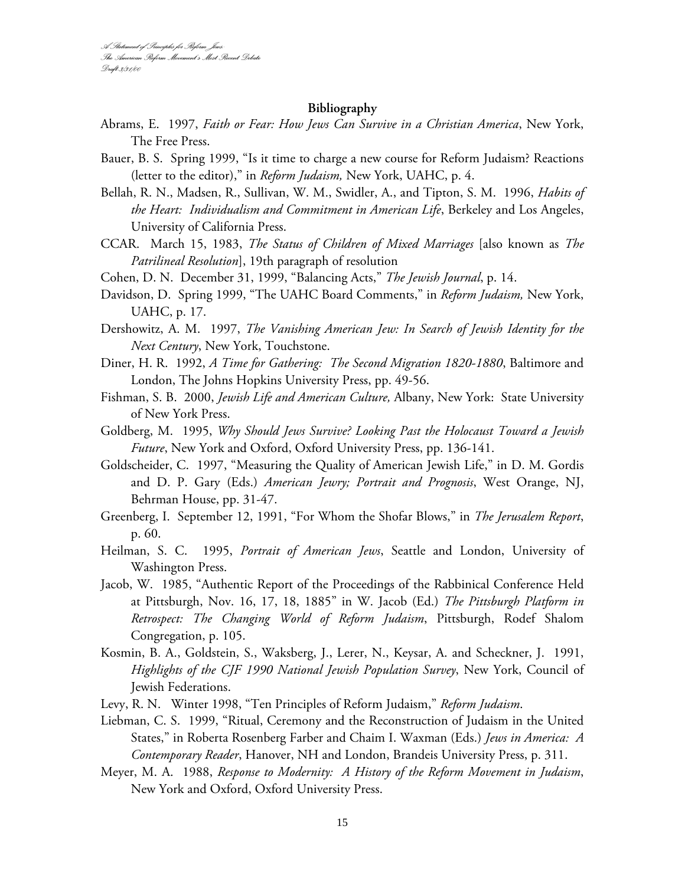#### **Bibliography**

- Abrams, E. 1997, *Faith or Fear: How Jews Can Survive in a Christian America*, New York, The Free Press.
- Bauer, B. S. Spring 1999, "Is it time to charge a new course for Reform Judaism? Reactions (letter to the editor)," in *Reform Judaism,* New York, UAHC, p. 4.
- Bellah, R. N., Madsen, R., Sullivan, W. M., Swidler, A., and Tipton, S. M. 1996, *Habits of the Heart: Individualism and Commitment in American Life*, Berkeley and Los Angeles, University of California Press.
- CCAR. March 15, 1983, *The Status of Children of Mixed Marriages* [also known as *The Patrilineal Resolution*], 19th paragraph of resolution
- Cohen, D. N. December 31, 1999, "Balancing Acts," *The Jewish Journal*, p. 14.
- Davidson, D. Spring 1999, "The UAHC Board Comments," in *Reform Judaism,* New York, UAHC, p. 17.
- Dershowitz, A. M. 1997, *The Vanishing American Jew: In Search of Jewish Identity for the Next Century*, New York, Touchstone.
- Diner, H. R. 1992, *A Time for Gathering: The Second Migration 1820-1880*, Baltimore and London, The Johns Hopkins University Press, pp. 49-56.
- Fishman, S. B. 2000, *Jewish Life and American Culture,* Albany, New York: State University of New York Press.
- Goldberg, M. 1995, *Why Should Jews Survive? Looking Past the Holocaust Toward a Jewish Future*, New York and Oxford, Oxford University Press, pp. 136-141.
- Goldscheider, C. 1997, "Measuring the Quality of American Jewish Life," in D. M. Gordis and D. P. Gary (Eds.) *American Jewry; Portrait and Prognosis*, West Orange, NJ, Behrman House, pp. 31-47.
- Greenberg, I. September 12, 1991, "For Whom the Shofar Blows," in *The Jerusalem Report*, p. 60.
- Heilman, S. C. 1995, *Portrait of American Jews*, Seattle and London, University of Washington Press.
- Jacob, W. 1985, "Authentic Report of the Proceedings of the Rabbinical Conference Held at Pittsburgh, Nov. 16, 17, 18, 1885" in W. Jacob (Ed.) *The Pittsburgh Platform in Retrospect: The Changing World of Reform Judaism*, Pittsburgh, Rodef Shalom Congregation, p. 105.
- Kosmin, B. A., Goldstein, S., Waksberg, J., Lerer, N., Keysar, A. and Scheckner, J. 1991, *Highlights of the CJF 1990 National Jewish Population Survey*, New York, Council of Jewish Federations.
- Levy, R. N. Winter 1998, "Ten Principles of Reform Judaism," *Reform Judaism*.
- Liebman, C. S. 1999, "Ritual, Ceremony and the Reconstruction of Judaism in the United States," in Roberta Rosenberg Farber and Chaim I. Waxman (Eds.) *Jews in America: A Contemporary Reader*, Hanover, NH and London, Brandeis University Press, p. 311.
- Meyer, M. A. 1988, *Response to Modernity: A History of the Reform Movement in Judaism*, New York and Oxford, Oxford University Press.